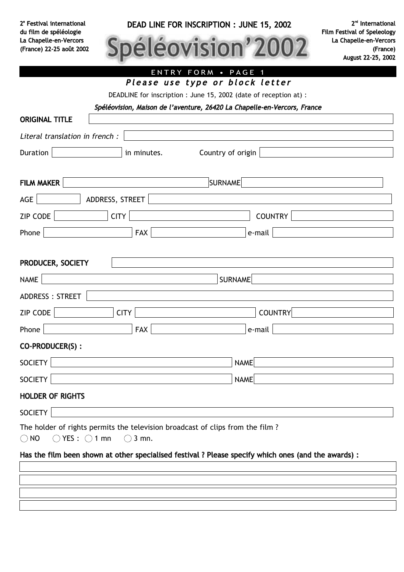2<sup>e</sup> Festival international du film de spéléologie La Chapelle-en-Vercors (France) 22-25 août 2002 DEAD LINE FOR INSCRIPTION : JUNE 15, 2002



2<sup>nd</sup> International Film Festival of Speleology La Chapelle-en-Vercors (France) August 22-25, 2002

|                                                   |                                                                                                                      | ENTRY FORM . PAGE 1<br>Please use type or block letter                                                                |  |  |
|---------------------------------------------------|----------------------------------------------------------------------------------------------------------------------|-----------------------------------------------------------------------------------------------------------------------|--|--|
|                                                   |                                                                                                                      | DEADLINE for inscription : June 15, 2002 (date of reception at) :                                                     |  |  |
|                                                   |                                                                                                                      | Spéléovision, Maison de l'aventure, 26420 La Chapelle-en-Vercors, France                                              |  |  |
| <b>ORIGINAL TITLE</b>                             |                                                                                                                      |                                                                                                                       |  |  |
| Literal translation in french :                   |                                                                                                                      |                                                                                                                       |  |  |
| Duration                                          | in minutes.                                                                                                          | Country of origin                                                                                                     |  |  |
| <b>FILM MAKER</b>                                 |                                                                                                                      | SURNAME                                                                                                               |  |  |
| AGE                                               | ADDRESS, STREET                                                                                                      |                                                                                                                       |  |  |
| <b>ZIP CODE</b>                                   | <b>CITY</b>                                                                                                          | <b>COUNTRY</b>                                                                                                        |  |  |
| Phone                                             | <b>FAX</b>                                                                                                           | e-mail                                                                                                                |  |  |
| PRODUCER, SOCIETY                                 |                                                                                                                      |                                                                                                                       |  |  |
| <b>NAME</b>                                       |                                                                                                                      | <b>SURNAME</b>                                                                                                        |  |  |
| ADDRESS: STREET                                   |                                                                                                                      |                                                                                                                       |  |  |
| <b>ZIP CODE</b>                                   | <b>CITY</b>                                                                                                          | <b>COUNTRY</b>                                                                                                        |  |  |
| Phone                                             | <b>FAX</b>                                                                                                           | e-mail                                                                                                                |  |  |
| CO-PRODUCER(S):                                   |                                                                                                                      |                                                                                                                       |  |  |
| <b>SOCIETY</b>                                    |                                                                                                                      | <b>NAME</b>                                                                                                           |  |  |
| <b>SOCIETY</b>                                    | <u> 1980 - Johann Barn, mars eta bainar eta idazlea (</u>                                                            | NAME                                                                                                                  |  |  |
| <b>HOLDER OF RIGHTS</b>                           |                                                                                                                      |                                                                                                                       |  |  |
| SOCIETY                                           | <u> 1980 - Jan Stein Stein Stein Stein Stein Stein Stein Stein Stein Stein Stein Stein Stein Stein Stein Stein S</u> | <u> 1989 - Johann Barn, mars ann an t-Amhair an t-Amhair an t-Amhair an t-Amhair an t-Amhair an t-Amhair an t-Amh</u> |  |  |
| $\bigcirc$ YES : $\bigcirc$ 1 mn<br>$\bigcirc$ no | $\bigcirc$ 3 mn.                                                                                                     | The holder of rights permits the television broadcast of clips from the film?                                         |  |  |
|                                                   |                                                                                                                      | Has the film been shown at other specialised festival ? Please specify which ones (and the awards) :                  |  |  |
|                                                   |                                                                                                                      |                                                                                                                       |  |  |
|                                                   |                                                                                                                      |                                                                                                                       |  |  |
|                                                   |                                                                                                                      |                                                                                                                       |  |  |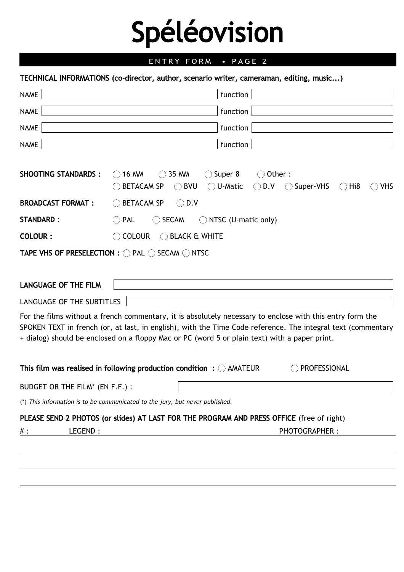# Spéléovision

### ENTRY FORM • PAGE 2

#### TECHNICAL INFORMATIONS (co-director, author, scenario writer, cameraman, editing, music...)

| <b>NAME</b>                     | function                                                                                                                                                                                                                                                                                                                   |
|---------------------------------|----------------------------------------------------------------------------------------------------------------------------------------------------------------------------------------------------------------------------------------------------------------------------------------------------------------------------|
| NAME                            | function                                                                                                                                                                                                                                                                                                                   |
| NAME                            | function                                                                                                                                                                                                                                                                                                                   |
| <b>NAME</b>                     | function                                                                                                                                                                                                                                                                                                                   |
| <b>SHOOTING STANDARDS:</b>      | $\bigcirc$ Super 8<br>$\bigcirc$ 16 MM<br>35 MM<br>$\bigcirc$ Other :<br>$($ )<br><b>BVU</b><br>$\bigcirc$ U-Matic<br><b>BETACAM SP</b><br>$\left(\right)$<br>D.V<br>Super-VHS<br><b>VHS</b><br>$\bigcirc$<br>$\bigcirc$<br>$\left(\begin{array}{c} \end{array}\right)$<br>Hi8<br>$( \ )$                                  |
| <b>BROADCAST FORMAT:</b>        | $\bigcirc$ BETACAM SP<br>$\bigcirc$ D.V                                                                                                                                                                                                                                                                                    |
| <b>STANDARD:</b>                | $\bigcirc$ PAL<br>$\bigcirc$ SECAM<br>$\bigcirc$ NTSC (U-matic only)                                                                                                                                                                                                                                                       |
| <b>COLOUR:</b>                  | $\bigcirc$ colour<br>$\bigcirc$ black $\alpha$ white                                                                                                                                                                                                                                                                       |
|                                 | <b>TAPE VHS OF PRESELECTION : <math>\bigcirc</math> PAL <math>\bigcirc</math> SECAM <math>\bigcirc</math> NTSC</b>                                                                                                                                                                                                         |
|                                 |                                                                                                                                                                                                                                                                                                                            |
| <b>LANGUAGE OF THE FILM</b>     |                                                                                                                                                                                                                                                                                                                            |
| LANGUAGE OF THE SUBTITLES       |                                                                                                                                                                                                                                                                                                                            |
|                                 | For the films without a french commentary, it is absolutely necessary to enclose with this entry form the<br>SPOKEN TEXT in french (or, at last, in english), with the Time Code reference. The integral text (commentary<br>+ dialog) should be enclosed on a floppy Mac or PC (word 5 or plain text) with a paper print. |
|                                 | This film was realised in following production condition $: \bigcirc$ AMATEUR<br>PROFESSIONAL                                                                                                                                                                                                                              |
| BUDGET OR THE FILM* (EN F.F.) : |                                                                                                                                                                                                                                                                                                                            |
|                                 | (*) This information is to be communicated to the jury, but never published.                                                                                                                                                                                                                                               |
|                                 | PLEASE SEND 2 PHOTOS (or slides) AT LAST FOR THE PROGRAM AND PRESS OFFICE (free of right)                                                                                                                                                                                                                                  |
| LEGEND :<br># :                 | <b>PHOTOGRAPHER:</b><br><u> 1980 - Andrea Andrew Maria (h. 1980).</u>                                                                                                                                                                                                                                                      |
|                                 |                                                                                                                                                                                                                                                                                                                            |
|                                 |                                                                                                                                                                                                                                                                                                                            |
|                                 |                                                                                                                                                                                                                                                                                                                            |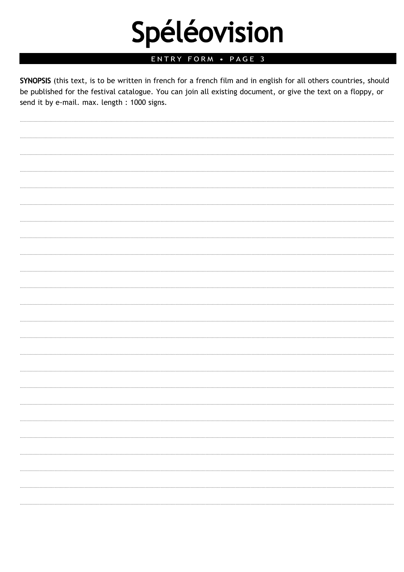# Spéléovision

#### ENTRY FORM . PAGE 3

SYNOPSIS (this text, is to be written in french for a french film and in english for all others countries, should be published for the festival catalogue. You can join all existing document, or give the text on a floppy, or send it by e-mail. max. length: 1000 signs.